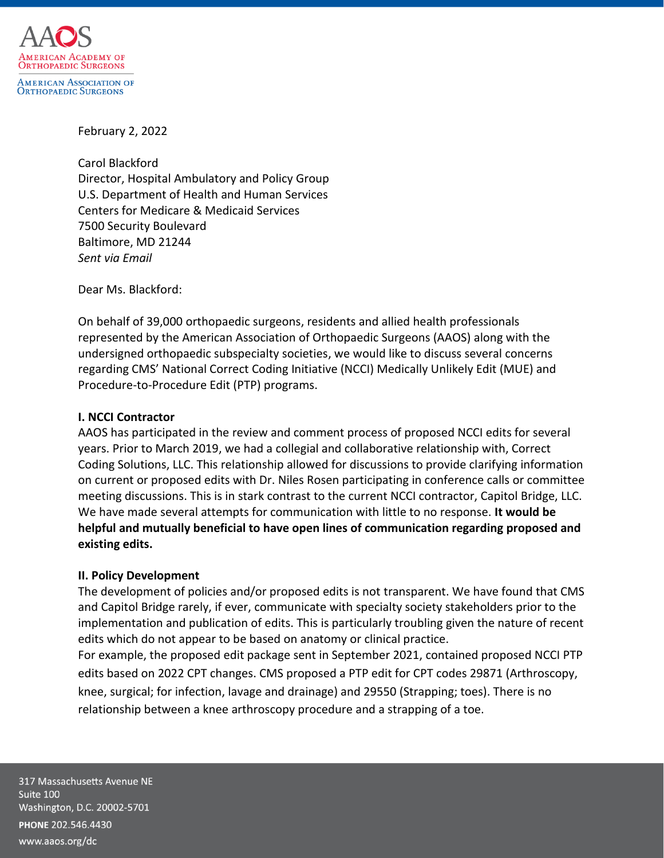

### February 2, 2022

Carol Blackford Director, Hospital Ambulatory and Policy Group U.S. Department of Health and Human Services Centers for Medicare & Medicaid Services 7500 Security Boulevard Baltimore, MD 21244 *Sent via Email*

Dear Ms. Blackford:

On behalf of 39,000 orthopaedic surgeons, residents and allied health professionals represented by the American Association of Orthopaedic Surgeons (AAOS) along with the undersigned orthopaedic subspecialty societies, we would like to discuss several concerns regarding CMS' National Correct Coding Initiative (NCCI) Medically Unlikely Edit (MUE) and Procedure-to-Procedure Edit (PTP) programs.

# **I. NCCI Contractor**

AAOS has participated in the review and comment process of proposed NCCI edits for several years. Prior to March 2019, we had a collegial and collaborative relationship with, Correct Coding Solutions, LLC. This relationship allowed for discussions to provide clarifying information on current or proposed edits with Dr. Niles Rosen participating in conference calls or committee meeting discussions. This is in stark contrast to the current NCCI contractor, Capitol Bridge, LLC. We have made several attempts for communication with little to no response. **It would be helpful and mutually beneficial to have open lines of communication regarding proposed and existing edits.**

# **II. Policy Development**

The development of policies and/or proposed edits is not transparent. We have found that CMS and Capitol Bridge rarely, if ever, communicate with specialty society stakeholders prior to the implementation and publication of edits. This is particularly troubling given the nature of recent edits which do not appear to be based on anatomy or clinical practice. For example, the proposed edit package sent in September 2021, contained proposed NCCI PTP edits based on 2022 CPT changes. CMS proposed a PTP edit for CPT codes 29871 (Arthroscopy, knee, surgical; for infection, lavage and drainage) and 29550 (Strapping; toes). There is no relationship between a knee arthroscopy procedure and a strapping of a toe.

317 Massachusetts Avenue NE Suite 100 Washington, D.C. 20002-5701 PHONE 202.546.4430 www.aaos.org/dc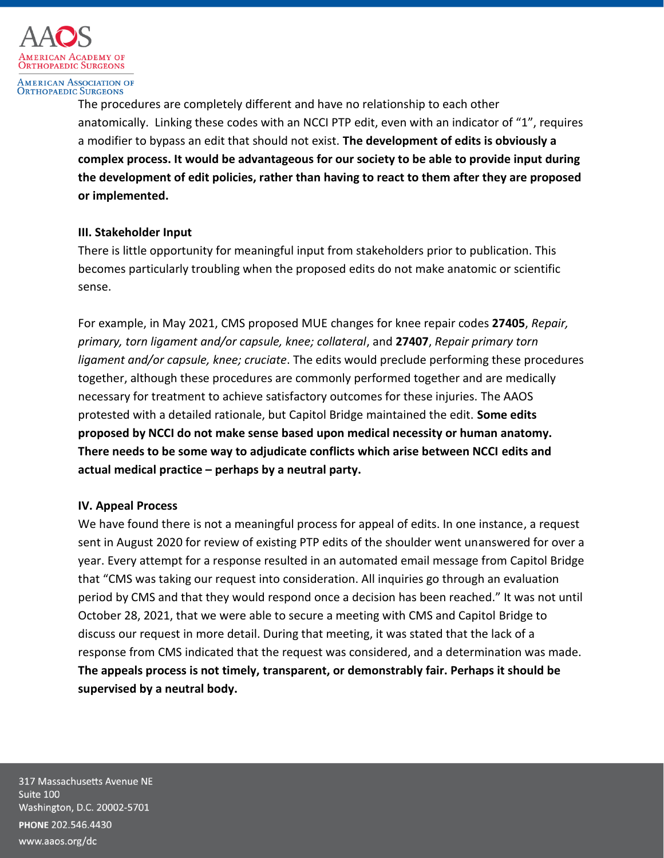

**AMERICAN ASSOCIATION OF ORTHOPAEDIC SURGEONS** 

> The procedures are completely different and have no relationship to each other anatomically.Linking these codes with an NCCI PTP edit, even with an indicator of "1", requires a modifier to bypass an edit that should not exist. **The development of edits is obviously a complex process. It would be advantageous for our society to be able to provide input during the development of edit policies, rather than having to react to them after they are proposed or implemented.**

# **III. Stakeholder Input**

There is little opportunity for meaningful input from stakeholders prior to publication. This becomes particularly troubling when the proposed edits do not make anatomic or scientific sense.

For example, in May 2021, CMS proposed MUE changes for knee repair codes **27405**, *Repair, primary, torn ligament and/or capsule, knee; collateral*, and **27407**, *Repair primary torn ligament and/or capsule, knee; cruciate*. The edits would preclude performing these procedures together, although these procedures are commonly performed together and are medically necessary for treatment to achieve satisfactory outcomes for these injuries. The AAOS protested with a detailed rationale, but Capitol Bridge maintained the edit. **Some edits proposed by NCCI do not make sense based upon medical necessity or human anatomy. There needs to be some way to adjudicate conflicts which arise between NCCI edits and actual medical practice – perhaps by a neutral party.**

# **IV. Appeal Process**

We have found there is not a meaningful process for appeal of edits. In one instance, a request sent in August 2020 for review of existing PTP edits of the shoulder went unanswered for over a year. Every attempt for a response resulted in an automated email message from Capitol Bridge that "CMS was taking our request into consideration. All inquiries go through an evaluation period by CMS and that they would respond once a decision has been reached." It was not until October 28, 2021, that we were able to secure a meeting with CMS and Capitol Bridge to discuss our request in more detail. During that meeting, it was stated that the lack of a response from CMS indicated that the request was considered, and a determination was made. **The appeals process is not timely, transparent, or demonstrably fair. Perhaps it should be supervised by a neutral body.**

317 Massachusetts Avenue NE Suite 100 Washington, D.C. 20002-5701 PHONE 202.546.4430 www.aaos.org/dc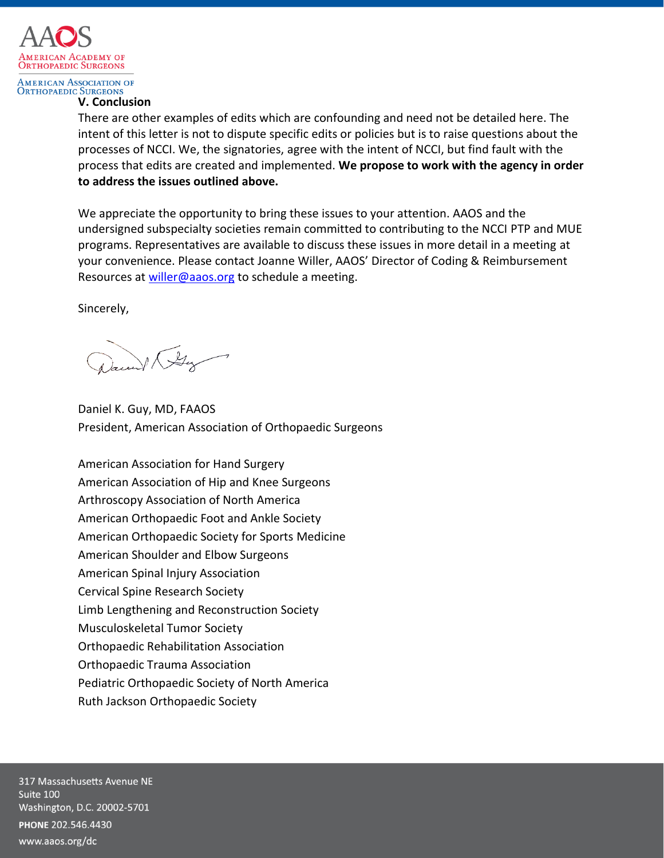

#### **AMERICAN ASSOCIATION OF ORTHOPAEDIC SURGEONS**

#### **V. Conclusion**

There are other examples of edits which are confounding and need not be detailed here. The intent of this letter is not to dispute specific edits or policies but is to raise questions about the processes of NCCI. We, the signatories, agree with the intent of NCCI, but find fault with the process that edits are created and implemented. **We propose to work with the agency in order to address the issues outlined above.**

We appreciate the opportunity to bring these issues to your attention. AAOS and the undersigned subspecialty societies remain committed to contributing to the NCCI PTP and MUE programs. Representatives are available to discuss these issues in more detail in a meeting at your convenience. Please contact Joanne Willer, AAOS' Director of Coding & Reimbursement Resources at [willer@aaos.org](mailto:willer@aaos.org) to schedule a meeting.

Sincerely,

1 By

Daniel K. Guy, MD, FAAOS President, American Association of Orthopaedic Surgeons

American Association for Hand Surgery American Association of Hip and Knee Surgeons Arthroscopy Association of North America American Orthopaedic Foot and Ankle Society American Orthopaedic Society for Sports Medicine American Shoulder and Elbow Surgeons American Spinal Injury Association Cervical Spine Research Society Limb Lengthening and Reconstruction Society Musculoskeletal Tumor Society Orthopaedic Rehabilitation Association Orthopaedic Trauma Association Pediatric Orthopaedic Society of North America Ruth Jackson Orthopaedic Society

317 Massachusetts Avenue NE Suite 100 Washington, D.C. 20002-5701 PHONE 202.546.4430 www.aaos.org/dc